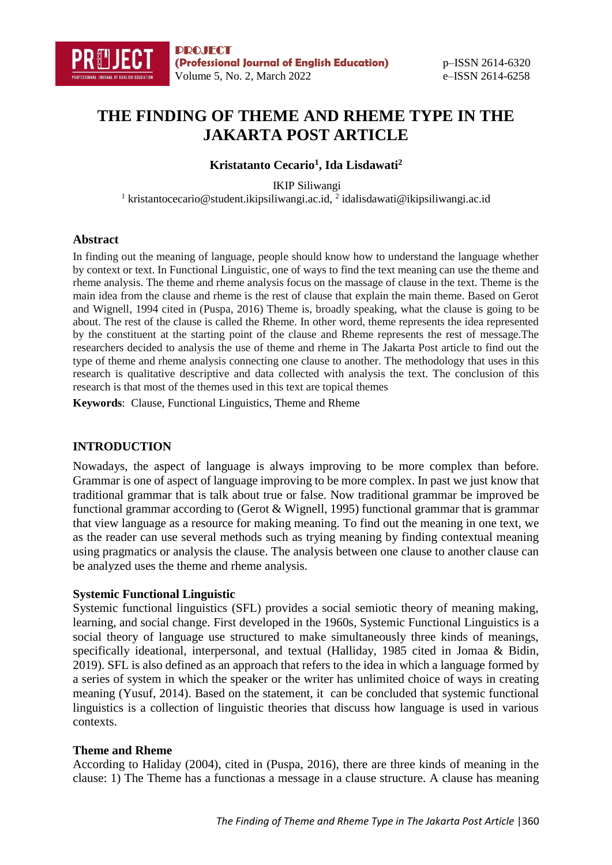

# **THE FINDING OF THEME AND RHEME TYPE IN THE JAKARTA POST ARTICLE**

#### **Kristatanto Cecario<sup>1</sup> , Ida Lisdawati<sup>2</sup>**

IKIP Siliwangi <sup>1</sup> kristantocecario@student.ikipsiliwangi.ac.id, <sup>2</sup> idalisdawati@ikipsiliwangi.ac.id

#### **Abstract**

In finding out the meaning of language, people should know how to understand the language whether by context or text. In Functional Linguistic, one of ways to find the text meaning can use the theme and rheme analysis. The theme and rheme analysis focus on the massage of clause in the text. Theme is the main idea from the clause and rheme is the rest of clause that explain the main theme. Based on Gerot and Wignell, 1994 cited in (Puspa, 2016) Theme is, broadly speaking, what the clause is going to be about. The rest of the clause is called the Rheme. In other word, theme represents the idea represented by the constituent at the starting point of the clause and Rheme represents the rest of message.The researchers decided to analysis the use of theme and rheme in The Jakarta Post article to find out the type of theme and rheme analysis connecting one clause to another. The methodology that uses in this research is qualitative descriptive and data collected with analysis the text. The conclusion of this research is that most of the themes used in this text are topical themes

**Keywords**: Clause, Functional Linguistics, Theme and Rheme

#### **INTRODUCTION**

Nowadays, the aspect of language is always improving to be more complex than before. Grammar is one of aspect of language improving to be more complex. In past we just know that traditional grammar that is talk about true or false. Now traditional grammar be improved be functional grammar according to (Gerot & Wignell, 1995) functional grammar that is grammar that view language as a resource for making meaning. To find out the meaning in one text, we as the reader can use several methods such as trying meaning by finding contextual meaning using pragmatics or analysis the clause. The analysis between one clause to another clause can be analyzed uses the theme and rheme analysis.

#### **Systemic Functional Linguistic**

Systemic functional linguistics (SFL) provides a social semiotic theory of meaning making, learning, and social change. First developed in the 1960s, Systemic Functional Linguistics is a social theory of language use structured to make simultaneously three kinds of meanings, specifically ideational, interpersonal, and textual (Halliday, 1985 cited in Jomaa & Bidin, 2019). SFL is also defined as an approach that refers to the idea in which a language formed by a series of system in which the speaker or the writer has unlimited choice of ways in creating meaning (Yusuf, 2014). Based on the statement, it can be concluded that systemic functional linguistics is a collection of linguistic theories that discuss how language is used in various contexts.

#### **Theme and Rheme**

According to Haliday (2004), cited in (Puspa, 2016), there are three kinds of meaning in the clause: 1) The Theme has a functionas a message in a clause structure. A clause has meaning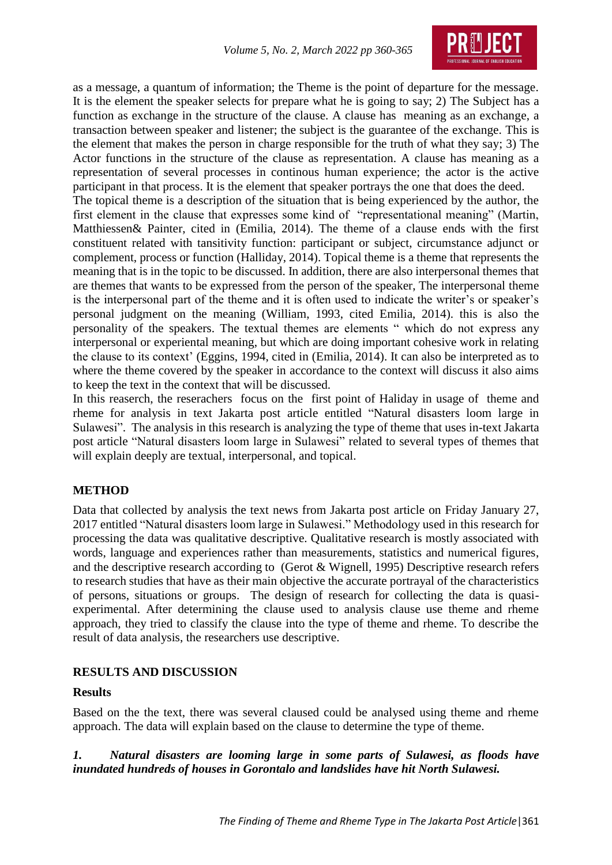

as a message, a quantum of information; the Theme is the point of departure for the message. It is the element the speaker selects for prepare what he is going to say; 2) The Subject has a function as exchange in the structure of the clause. A clause has meaning as an exchange, a transaction between speaker and listener; the subject is the guarantee of the exchange. This is the element that makes the person in charge responsible for the truth of what they say; 3) The Actor functions in the structure of the clause as representation. A clause has meaning as a representation of several processes in continous human experience; the actor is the active participant in that process. It is the element that speaker portrays the one that does the deed.

The topical theme is a description of the situation that is being experienced by the author, the first element in the clause that expresses some kind of "representational meaning" (Martin, Matthiessen& Painter, cited in (Emilia, 2014). The theme of a clause ends with the first constituent related with tansitivity function: participant or subject, circumstance adjunct or complement, process or function (Halliday, 2014). Topical theme is a theme that represents the meaning that is in the topic to be discussed. In addition, there are also interpersonal themes that are themes that wants to be expressed from the person of the speaker, The interpersonal theme is the interpersonal part of the theme and it is often used to indicate the writer's or speaker's personal judgment on the meaning (William, 1993, cited Emilia, 2014). this is also the personality of the speakers. The textual themes are elements " which do not express any interpersonal or experiental meaning, but which are doing important cohesive work in relating the clause to its context' (Eggins, 1994, cited in (Emilia, 2014). It can also be interpreted as to where the theme covered by the speaker in accordance to the context will discuss it also aims to keep the text in the context that will be discussed.

In this reaserch, the reserachers focus on the first point of Haliday in usage of theme and rheme for analysis in text Jakarta post article entitled "Natural disasters loom large in Sulawesi". The analysis in this research is analyzing the type of theme that uses in-text Jakarta post article "Natural disasters loom large in Sulawesi" related to several types of themes that will explain deeply are textual, interpersonal, and topical.

# **METHOD**

Data that collected by analysis the text news from Jakarta post article on Friday January 27, 2017 entitled "Natural disasters loom large in Sulawesi." Methodology used in this research for processing the data was qualitative descriptive. Qualitative research is mostly associated with words, language and experiences rather than measurements, statistics and numerical figures, and the descriptive research according to (Gerot & Wignell, 1995) Descriptive research refers to research studies that have as their main objective the accurate portrayal of the characteristics of persons, situations or groups. The design of research for collecting the data is quasiexperimental. After determining the clause used to analysis clause use theme and rheme approach, they tried to classify the clause into the type of theme and rheme. To describe the result of data analysis, the researchers use descriptive.

# **RESULTS AND DISCUSSION**

### **Results**

Based on the the text, there was several claused could be analysed using theme and rheme approach. The data will explain based on the clause to determine the type of theme.

*1. Natural disasters are looming large in some parts of Sulawesi, as floods have inundated hundreds of houses in Gorontalo and landslides have hit North Sulawesi.*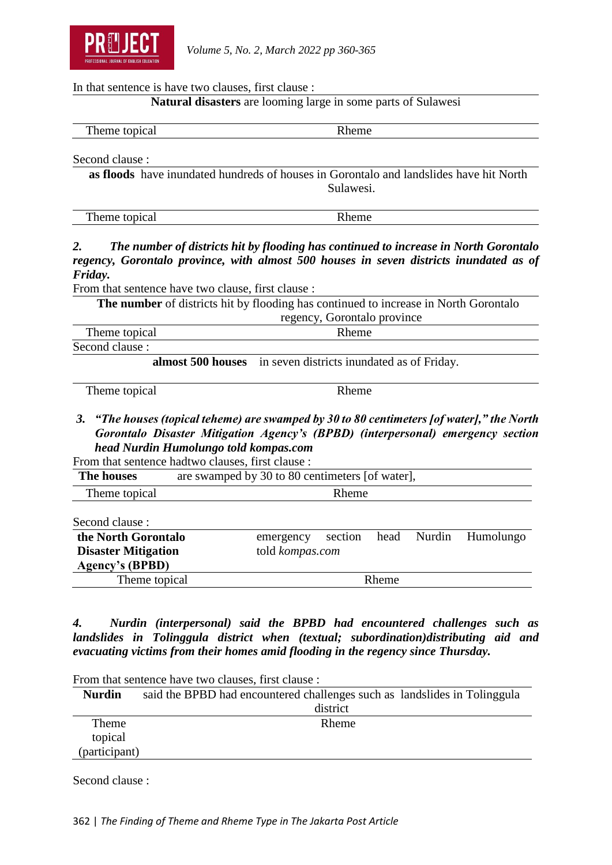

In that sentence is have two clauses, first clause :

## **Natural disasters** are looming large in some parts of Sulawesi

Theme topical Rheme

Second clause :

**as floods** have inundated hundreds of houses in Gorontalo and landslides have hit North Sulawesi.

| Theme topical<br>Rheme |
|------------------------|
|------------------------|

# *2. The number of districts hit by flooding has continued to increase in North Gorontalo regency, Gorontalo province, with almost 500 houses in seven districts inundated as of Friday.*

From that sentence have two clause, first clause :

**The number** of districts hit by flooding has continued to increase in North Gorontalo regency, Gorontalo province

| <b>TIME</b><br>rheme t<br>topical | heme : |  |
|-----------------------------------|--------|--|
| Second clause :                   |        |  |

**almost 500 houses** in seven districts inundated as of Friday.

Theme topical Rheme

*3. "The houses (topical teheme) are swamped by 30 to 80 centimeters [of water]," the North Gorontalo Disaster Mitigation Agency's (BPBD) (interpersonal) emergency section head Nurdin Humolungo told kompas.com*

From that sentence hadtwo clauses, first clause :

| the North Gorontalo<br>emergency | section |                 |                | Humolungo                                                      |
|----------------------------------|---------|-----------------|----------------|----------------------------------------------------------------|
|                                  |         |                 |                |                                                                |
|                                  |         |                 |                |                                                                |
| Theme topical                    |         |                 |                |                                                                |
|                                  |         | told kompas.com | Rheme<br>Rheme | are swamped by 30 to 80 centimeters [of water],<br>head Nurdin |

*4. Nurdin (interpersonal) said the BPBD had encountered challenges such as landslides in Tolinggula district when (textual; subordination)distributing aid and evacuating victims from their homes amid flooding in the regency since Thursday.*

From that sentence have two clauses, first clause : **Nurdin** said the BPBD had encountered challenges such as landslides in Tolinggula district Theme topical (participant) Rheme

Second clause :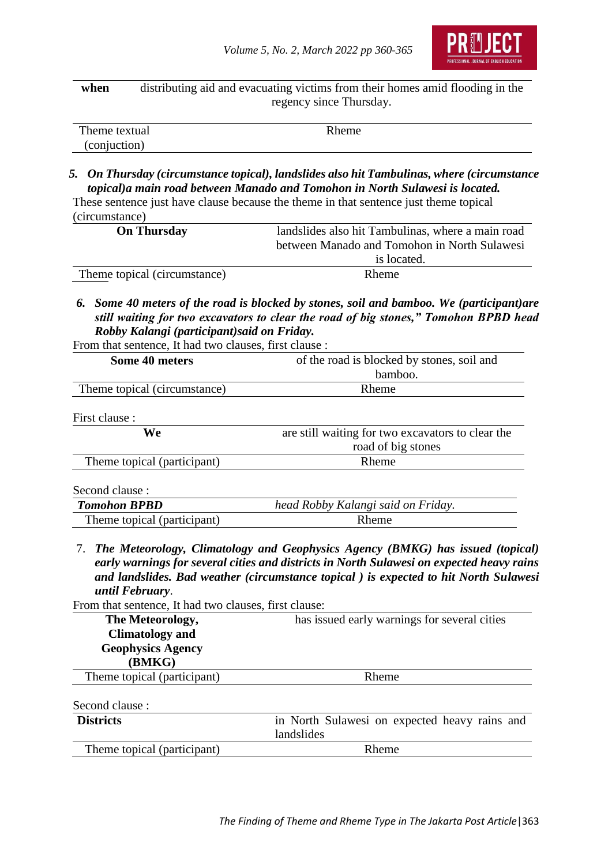

**when** distributing aid and evacuating victims from their homes amid flooding in the regency since Thursday.

| Theme textual | Kheme |
|---------------|-------|
| (conjuction)  |       |

*5. On Thursday (circumstance topical), landslides also hit Tambulinas, where (circumstance topical)a main road between Manado and Tomohon in North Sulawesi is located.* These sentence just have clause because the theme in that sentence just theme topical

(circumstance)

| <b>On Thursday</b>           | landslides also hit Tambulinas, where a main road |
|------------------------------|---------------------------------------------------|
|                              | between Manado and Tomohon in North Sulawesi      |
|                              | is located.                                       |
| Theme topical (circumstance) | <b>Rheme</b>                                      |

*6. Some 40 meters of the road is blocked by stones, soil and bamboo. We (participant)are still waiting for two excavators to clear the road of big stones," Tomohon BPBD head Robby Kalangi (participant)said on Friday.*

From that sentence, It had two clauses, first clause :

| Some 40 meters               | of the road is blocked by stones, soil and        |
|------------------------------|---------------------------------------------------|
|                              | bamboo.                                           |
| Theme topical (circumstance) | Rheme                                             |
| First clause:                |                                                   |
| We                           | are still waiting for two excavators to clear the |
|                              | road of big stones                                |
| Theme topical (participant)  | Rheme                                             |
| Second clause :              |                                                   |
| <b>Tomohon BPBD</b>          | head Robby Kalangi said on Friday.                |
| Theme topical (participant)  | Rheme                                             |
|                              |                                                   |

7. *The Meteorology, Climatology and Geophysics Agency (BMKG) has issued (topical) early warnings for several cities and districts in North Sulawesi on expected heavy rains and landslides. Bad weather (circumstance topical ) is expected to hit North Sulawesi until February*.

From that sentence, It had two clauses, first clause:

| The Meteorology,            | has issued early warnings for several cities  |
|-----------------------------|-----------------------------------------------|
| <b>Climatology and</b>      |                                               |
| <b>Geophysics Agency</b>    |                                               |
| (BMKG)                      |                                               |
| Theme topical (participant) | Rheme                                         |
| Second clause :             |                                               |
| <b>Districts</b>            | in North Sulawesi on expected heavy rains and |
|                             | landslides                                    |

Rheme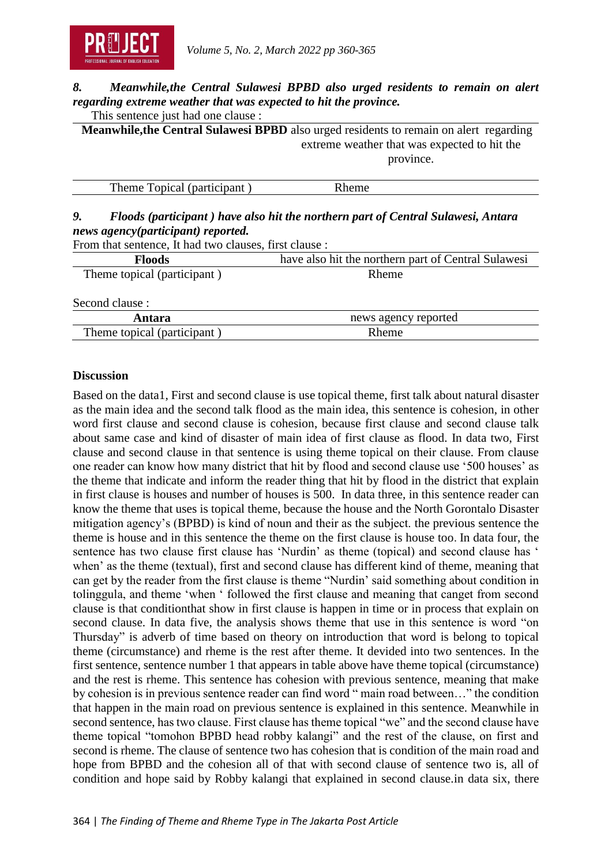

### *8. Meanwhile,the Central Sulawesi BPBD also urged residents to remain on alert regarding extreme weather that was expected to hit the province.* This sentence just had one clause :

**Meanwhile,the Central Sulawesi BPBD** also urged residents to remain on alert regarding extreme weather that was expected to hit the province.

| Theme<br>Topical (participant)<br>. ലക |  |
|----------------------------------------|--|

# *9. Floods (participant ) have also hit the northern part of Central Sulawesi, Antara news agency(participant) reported.*

From that sentence, It had two clauses, first clause :

| <b>Floods</b>               | have also hit the northern part of Central Sulawesi |
|-----------------------------|-----------------------------------------------------|
| Theme topical (participant) | Rheme                                               |
| Second clause :             |                                                     |
| Antara                      | news agency reported                                |
| Theme topical (participant) | Rheme                                               |

### **Discussion**

Based on the data1, First and second clause is use topical theme, first talk about natural disaster as the main idea and the second talk flood as the main idea, this sentence is cohesion, in other word first clause and second clause is cohesion, because first clause and second clause talk about same case and kind of disaster of main idea of first clause as flood. In data two, First clause and second clause in that sentence is using theme topical on their clause. From clause one reader can know how many district that hit by flood and second clause use '500 houses' as the theme that indicate and inform the reader thing that hit by flood in the district that explain in first clause is houses and number of houses is 500. In data three, in this sentence reader can know the theme that uses is topical theme, because the house and the North Gorontalo Disaster mitigation agency's (BPBD) is kind of noun and their as the subject. the previous sentence the theme is house and in this sentence the theme on the first clause is house too. In data four, the sentence has two clause first clause has 'Nurdin' as theme (topical) and second clause has ' when' as the theme (textual), first and second clause has different kind of theme, meaning that can get by the reader from the first clause is theme "Nurdin' said something about condition in tolinggula, and theme 'when ' followed the first clause and meaning that canget from second clause is that conditionthat show in first clause is happen in time or in process that explain on second clause. In data five, the analysis shows theme that use in this sentence is word "on Thursday" is adverb of time based on theory on introduction that word is belong to topical theme (circumstance) and rheme is the rest after theme. It devided into two sentences. In the first sentence, sentence number 1 that appears in table above have theme topical (circumstance) and the rest is rheme. This sentence has cohesion with previous sentence, meaning that make by cohesion is in previous sentence reader can find word " main road between…" the condition that happen in the main road on previous sentence is explained in this sentence. Meanwhile in second sentence, has two clause. First clause has theme topical "we" and the second clause have theme topical "tomohon BPBD head robby kalangi" and the rest of the clause, on first and second is rheme. The clause of sentence two has cohesion that is condition of the main road and hope from BPBD and the cohesion all of that with second clause of sentence two is, all of condition and hope said by Robby kalangi that explained in second clause.in data six, there